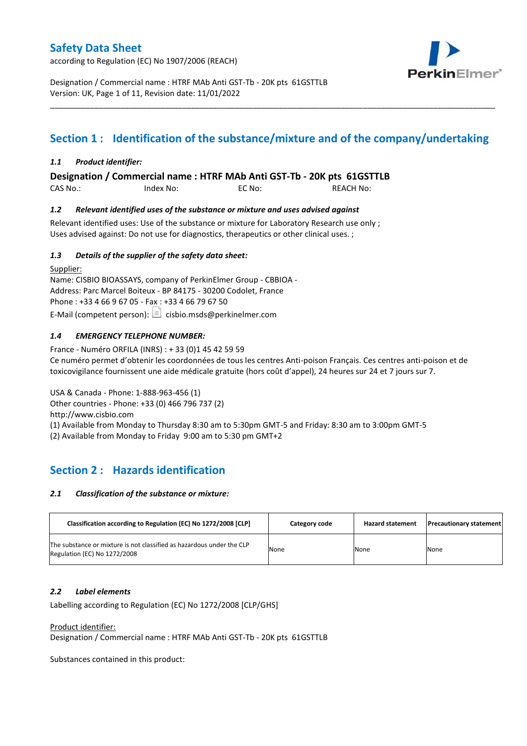according to Regulation (EC) No 1907/2006 (REACH)



Designation / Commercial name : HTRF MAb Anti GST-Tb - 20K pts 61GSTTLB Version: UK, Page 1 of 11, Revision date: 11/01/2022

# **Section 1 : Identification of the substance/mixture and of the company/undertaking**

\_\_\_\_\_\_\_\_\_\_\_\_\_\_\_\_\_\_\_\_\_\_\_\_\_\_\_\_\_\_\_\_\_\_\_\_\_\_\_\_\_\_\_\_\_\_\_\_\_\_\_\_\_\_\_\_\_\_\_\_\_\_\_\_\_\_\_\_\_\_\_\_\_\_\_\_\_\_\_\_\_\_\_\_\_\_\_\_\_\_\_\_\_\_\_\_\_\_\_\_\_

### *1.1 Product identifier:*

**Designation / Commercial name : HTRF MAb Anti GST-Tb - 20K pts 61GSTTLB** 

CAS No.: Index No: EC No: REACH No:

### *1.2 Relevant identified uses of the substance or mixture and uses advised against*

Relevant identified uses: Use of the substance or mixture for Laboratory Research use only ; Uses advised against: Do not use for diagnostics, therapeutics or other clinical uses. ;

### *1.3 Details of the supplier of the safety data sheet:*

Supplier: Name: CISBIO BIOASSAYS, company of PerkinElmer Group - CBBIOA - Address: Parc Marcel Boiteux - BP 84175 - 30200 Codolet, France Phone : +33 4 66 9 67 05 - Fax : +33 4 66 79 67 50 E-Mail (competent person):  $\boxed{\equiv}$  cisbio.msds@perkinelmer.com

### *1.4 EMERGENCY TELEPHONE NUMBER:*

France - Numéro ORFILA (INRS) : + 33 (0)1 45 42 59 59 Ce numéro permet d'obtenir les coordonnées de tous les centres Anti-poison Français. Ces centres anti-poison et de toxicovigilance fournissent une aide médicale gratuite (hors coût d'appel), 24 heures sur 24 et 7 jours sur 7.

USA & Canada - Phone: 1-888-963-456 (1) Other countries - Phone: +33 (0) 466 796 737 (2)

http://www.cisbio.com

(1) Available from Monday to Thursday 8:30 am to 5:30pm GMT-5 and Friday: 8:30 am to 3:00pm GMT-5

(2) Available from Monday to Friday 9:00 am to 5:30 pm GMT+2

# **Section 2 : Hazards identification**

#### *2.1 Classification of the substance or mixture:*

| Classification according to Regulation (EC) No 1272/2008 [CLP]                                        | Category code | <b>Hazard statement</b> | <b>Precautionary statement</b> |
|-------------------------------------------------------------------------------------------------------|---------------|-------------------------|--------------------------------|
| The substance or mixture is not classified as hazardous under the CLP<br>Regulation (EC) No 1272/2008 | None          | None                    | None                           |

#### *2.2 Label elements*

Labelling according to Regulation (EC) No 1272/2008 [CLP/GHS]

Product identifier:

Designation / Commercial name : HTRF MAb Anti GST-Tb - 20K pts 61GSTTLB

Substances contained in this product: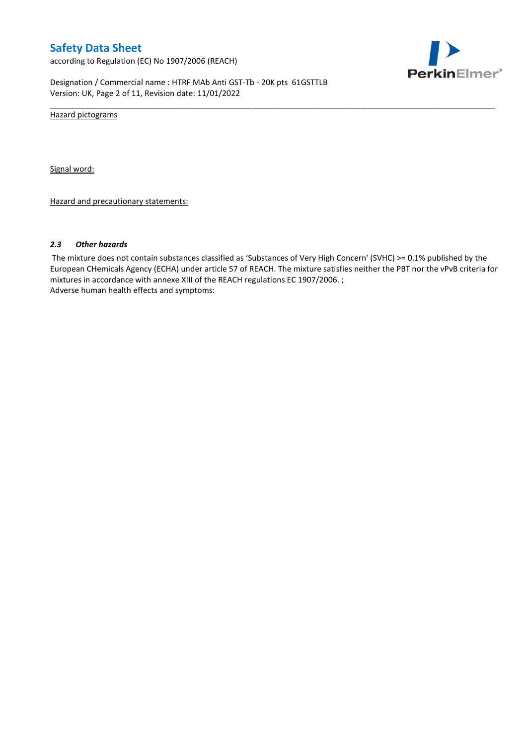according to Regulation (EC) No 1907/2006 (REACH)



Designation / Commercial name : HTRF MAb Anti GST-Tb - 20K pts 61GSTTLB Version: UK, Page 2 of 11, Revision date: 11/01/2022

Hazard pictograms

Signal word:

Hazard and precautionary statements:

#### *2.3 Other hazards*

The mixture does not contain substances classified as 'Substances of Very High Concern' (SVHC) >= 0.1% published by the European CHemicals Agency (ECHA) under article 57 of REACH. The mixture satisfies neither the PBT nor the vPvB criteria for mixtures in accordance with annexe XIII of the REACH regulations EC 1907/2006. ; Adverse human health effects and symptoms:

\_\_\_\_\_\_\_\_\_\_\_\_\_\_\_\_\_\_\_\_\_\_\_\_\_\_\_\_\_\_\_\_\_\_\_\_\_\_\_\_\_\_\_\_\_\_\_\_\_\_\_\_\_\_\_\_\_\_\_\_\_\_\_\_\_\_\_\_\_\_\_\_\_\_\_\_\_\_\_\_\_\_\_\_\_\_\_\_\_\_\_\_\_\_\_\_\_\_\_\_\_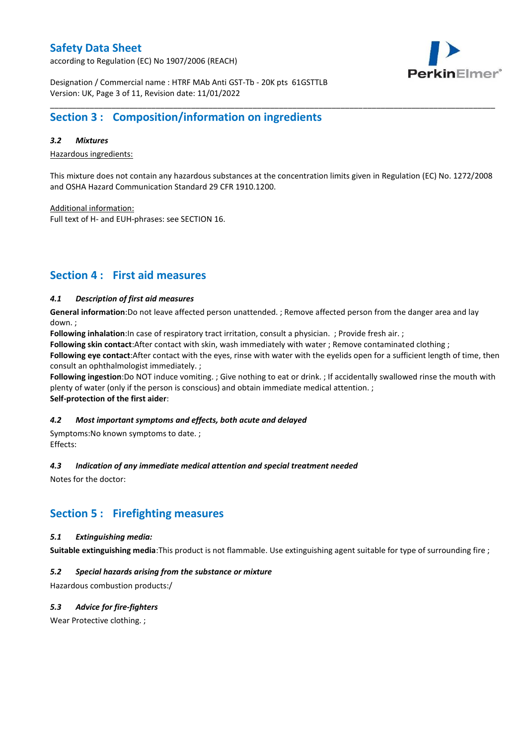according to Regulation (EC) No 1907/2006 (REACH)



Designation / Commercial name : HTRF MAb Anti GST-Tb - 20K pts 61GSTTLB Version: UK, Page 3 of 11, Revision date: 11/01/2022

# **Section 3 : Composition/information on ingredients**

### *3.2 Mixtures*

Hazardous ingredients:

This mixture does not contain any hazardous substances at the concentration limits given in Regulation (EC) No. 1272/2008 and OSHA Hazard Communication Standard 29 CFR 1910.1200.

\_\_\_\_\_\_\_\_\_\_\_\_\_\_\_\_\_\_\_\_\_\_\_\_\_\_\_\_\_\_\_\_\_\_\_\_\_\_\_\_\_\_\_\_\_\_\_\_\_\_\_\_\_\_\_\_\_\_\_\_\_\_\_\_\_\_\_\_\_\_\_\_\_\_\_\_\_\_\_\_\_\_\_\_\_\_\_\_\_\_\_\_\_\_\_\_\_\_\_\_\_

Additional information:

Full text of H- and EUH-phrases: see SECTION 16.

# **Section 4 : First aid measures**

### *4.1 Description of first aid measures*

**General information**:Do not leave affected person unattended. ; Remove affected person from the danger area and lay down. ;

**Following inhalation**:In case of respiratory tract irritation, consult a physician. ; Provide fresh air. ;

**Following skin contact**:After contact with skin, wash immediately with water ; Remove contaminated clothing ;

**Following eye contact**:After contact with the eyes, rinse with water with the eyelids open for a sufficient length of time, then consult an ophthalmologist immediately. ;

**Following ingestion**:Do NOT induce vomiting. ; Give nothing to eat or drink. ; If accidentally swallowed rinse the mouth with plenty of water (only if the person is conscious) and obtain immediate medical attention. ; **Self-protection of the first aider**:

#### *4.2 Most important symptoms and effects, both acute and delayed*

Symptoms:No known symptoms to date. ; Effects:

#### *4.3 Indication of any immediate medical attention and special treatment needed*

Notes for the doctor:

## **Section 5 : Firefighting measures**

#### *5.1 Extinguishing media:*

**Suitable extinguishing media**:This product is not flammable. Use extinguishing agent suitable for type of surrounding fire ;

### *5.2 Special hazards arising from the substance or mixture*

Hazardous combustion products:/

### *5.3 Advice for fire-fighters*

Wear Protective clothing.;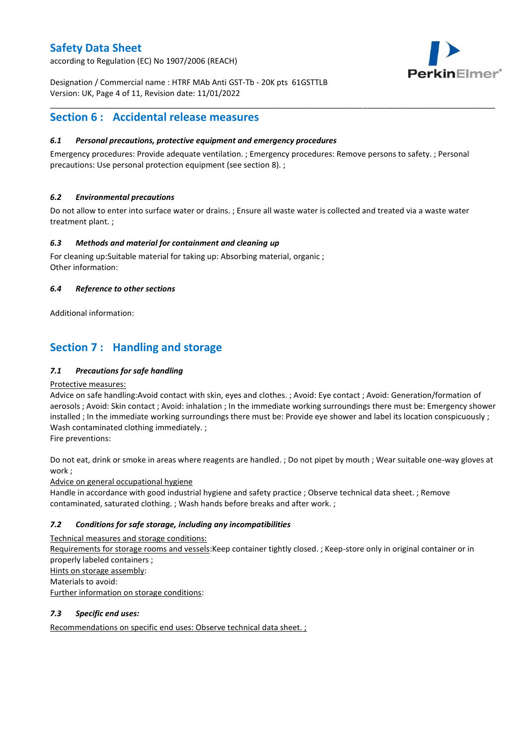according to Regulation (EC) No 1907/2006 (REACH)



Designation / Commercial name : HTRF MAb Anti GST-Tb - 20K pts 61GSTTLB Version: UK, Page 4 of 11, Revision date: 11/01/2022

# **Section 6 : Accidental release measures**

### *6.1 Personal precautions, protective equipment and emergency procedures*

Emergency procedures: Provide adequate ventilation. ; Emergency procedures: Remove persons to safety. ; Personal precautions: Use personal protection equipment (see section 8). ;

\_\_\_\_\_\_\_\_\_\_\_\_\_\_\_\_\_\_\_\_\_\_\_\_\_\_\_\_\_\_\_\_\_\_\_\_\_\_\_\_\_\_\_\_\_\_\_\_\_\_\_\_\_\_\_\_\_\_\_\_\_\_\_\_\_\_\_\_\_\_\_\_\_\_\_\_\_\_\_\_\_\_\_\_\_\_\_\_\_\_\_\_\_\_\_\_\_\_\_\_\_

### *6.2 Environmental precautions*

Do not allow to enter into surface water or drains. ; Ensure all waste water is collected and treated via a waste water treatment plant. ;

### *6.3 Methods and material for containment and cleaning up*

For cleaning up:Suitable material for taking up: Absorbing material, organic ; Other information:

### *6.4 Reference to other sections*

Additional information:

# **Section 7 : Handling and storage**

### *7.1 Precautions for safe handling*

#### Protective measures:

Advice on safe handling:Avoid contact with skin, eyes and clothes. ; Avoid: Eye contact ; Avoid: Generation/formation of aerosols ; Avoid: Skin contact ; Avoid: inhalation ; In the immediate working surroundings there must be: Emergency shower installed ; In the immediate working surroundings there must be: Provide eye shower and label its location conspicuously ; Wash contaminated clothing immediately. ;

Fire preventions:

Do not eat, drink or smoke in areas where reagents are handled. ; Do not pipet by mouth ; Wear suitable one-way gloves at work ;

Advice on general occupational hygiene

Handle in accordance with good industrial hygiene and safety practice ; Observe technical data sheet. ; Remove contaminated, saturated clothing. ; Wash hands before breaks and after work. ;

### *7.2 Conditions for safe storage, including any incompatibilities*

Technical measures and storage conditions: Requirements for storage rooms and vessels:Keep container tightly closed. ; Keep-store only in original container or in properly labeled containers ; Hints on storage assembly: Materials to avoid: Further information on storage conditions:

### *7.3 Specific end uses:*

Recommendations on specific end uses: Observe technical data sheet. ;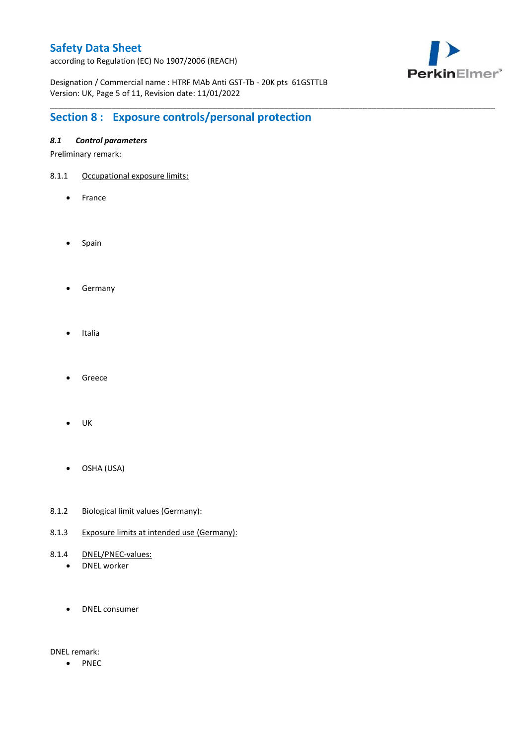according to Regulation (EC) No 1907/2006 (REACH)



Designation / Commercial name : HTRF MAb Anti GST-Tb - 20K pts 61GSTTLB Version: UK, Page 5 of 11, Revision date: 11/01/2022

\_\_\_\_\_\_\_\_\_\_\_\_\_\_\_\_\_\_\_\_\_\_\_\_\_\_\_\_\_\_\_\_\_\_\_\_\_\_\_\_\_\_\_\_\_\_\_\_\_\_\_\_\_\_\_\_\_\_\_\_\_\_\_\_\_\_\_\_\_\_\_\_\_\_\_\_\_\_\_\_\_\_\_\_\_\_\_\_\_\_\_\_\_\_\_\_\_\_\_\_\_

# **Section 8 : Exposure controls/personal protection**

### *8.1 Control parameters*

Preliminary remark:

- 8.1.1 Occupational exposure limits:
	- France
	- Spain
	- **•** Germany
	- Italia
	- Greece
	- $\bullet$  UK
	- OSHA (USA)
- 8.1.2 Biological limit values (Germany):
- 8.1.3 Exposure limits at intended use (Germany):
- 8.1.4 DNEL/PNEC-values:
	- DNEL worker
	- DNEL consumer

DNEL remark:

• PNEC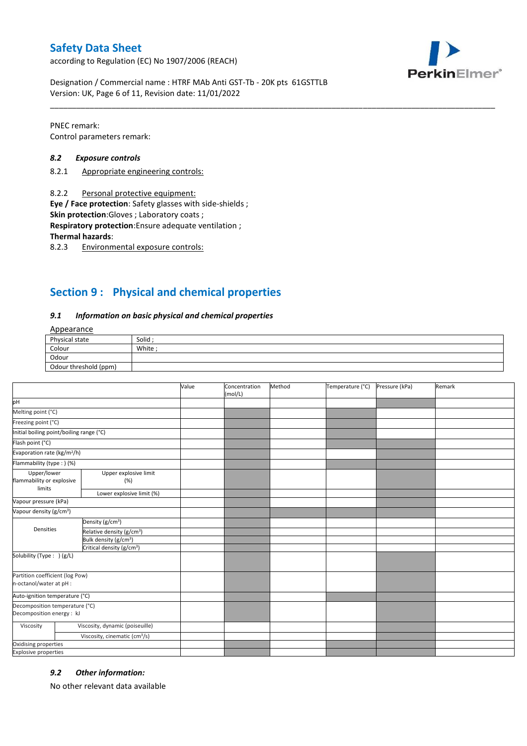according to Regulation (EC) No 1907/2006 (REACH)



Designation / Commercial name : HTRF MAb Anti GST-Tb - 20K pts 61GSTTLB Version: UK, Page 6 of 11, Revision date: 11/01/2022

PNEC remark: Control parameters remark:

#### *8.2 Exposure controls*

- 8.2.1 Appropriate engineering controls:
- 8.2.2 Personal protective equipment:

**Eye / Face protection**: Safety glasses with side-shields ;

**Skin protection**:Gloves ; Laboratory coats ;

**Respiratory protection**:Ensure adequate ventilation ;

**Thermal hazards**:

8.2.3 Environmental exposure controls:

# **Section 9 : Physical and chemical properties**

#### *9.1 Information on basic physical and chemical properties*

### Appearance

| Physical state        | Solid  |
|-----------------------|--------|
| Colour                | White; |
| Odour                 |        |
| Odour threshold (ppm) |        |

\_\_\_\_\_\_\_\_\_\_\_\_\_\_\_\_\_\_\_\_\_\_\_\_\_\_\_\_\_\_\_\_\_\_\_\_\_\_\_\_\_\_\_\_\_\_\_\_\_\_\_\_\_\_\_\_\_\_\_\_\_\_\_\_\_\_\_\_\_\_\_\_\_\_\_\_\_\_\_\_\_\_\_\_\_\_\_\_\_\_\_\_\_\_\_\_\_\_\_\_\_

|                                                             |                                           | Value | Concentration<br>(mol/L) | Method | Temperature (°C) | Pressure (kPa) | Remark |
|-------------------------------------------------------------|-------------------------------------------|-------|--------------------------|--------|------------------|----------------|--------|
| pH                                                          |                                           |       |                          |        |                  |                |        |
| Melting point (°C)                                          |                                           |       |                          |        |                  |                |        |
| Freezing point (°C)                                         |                                           |       |                          |        |                  |                |        |
| Initial boiling point/boiling range (°C)                    |                                           |       |                          |        |                  |                |        |
| Flash point (°C)                                            |                                           |       |                          |        |                  |                |        |
| Evaporation rate (kg/m <sup>2</sup> /h)                     |                                           |       |                          |        |                  |                |        |
| Flammability (type: ) (%)                                   |                                           |       |                          |        |                  |                |        |
| Upper/lower<br>flammability or explosive<br>limits          | Upper explosive limit<br>(%)              |       |                          |        |                  |                |        |
|                                                             | Lower explosive limit (%)                 |       |                          |        |                  |                |        |
| Vapour pressure (kPa)                                       |                                           |       |                          |        |                  |                |        |
| Vapour density (g/cm <sup>3</sup> )                         |                                           |       |                          |        |                  |                |        |
|                                                             | Density (g/cm <sup>3</sup> )              |       |                          |        |                  |                |        |
| Densities                                                   | Relative density (g/cm <sup>3</sup> )     |       |                          |        |                  |                |        |
|                                                             | Bulk density (g/cm <sup>3</sup> )         |       |                          |        |                  |                |        |
|                                                             | Critical density (g/cm <sup>3</sup> )     |       |                          |        |                  |                |        |
| Solubility (Type: ) (g/L)                                   |                                           |       |                          |        |                  |                |        |
| Partition coefficient (log Pow)<br>n-octanol/water at pH :  |                                           |       |                          |        |                  |                |        |
| Auto-ignition temperature (°C)                              |                                           |       |                          |        |                  |                |        |
| Decomposition temperature (°C)<br>Decomposition energy : kJ |                                           |       |                          |        |                  |                |        |
| Viscosity                                                   | Viscosity, dynamic (poiseuille)           |       |                          |        |                  |                |        |
|                                                             | Viscosity, cinematic (cm <sup>3</sup> /s) |       |                          |        |                  |                |        |
| Oxidising properties                                        |                                           |       |                          |        |                  |                |        |
| <b>Explosive properties</b>                                 |                                           |       |                          |        |                  |                |        |

#### *9.2 Other information:*

No other relevant data available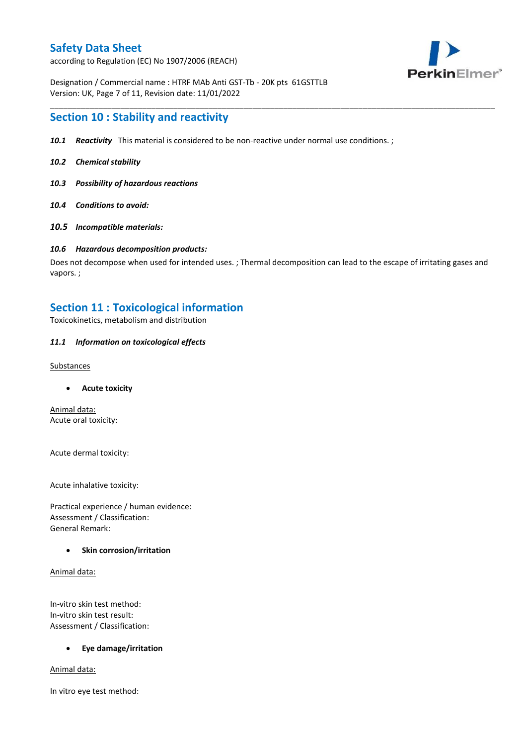according to Regulation (EC) No 1907/2006 (REACH)



Designation / Commercial name : HTRF MAb Anti GST-Tb - 20K pts 61GSTTLB Version: UK, Page 7 of 11, Revision date: 11/01/2022

### **Section 10 : Stability and reactivity**

- *10.1 Reactivity* This material is considered to be non-reactive under normal use conditions. ;
- *10.2 Chemical stability*
- *10.3 Possibility of hazardous reactions*
- *10.4 Conditions to avoid:*
- *10.5 Incompatible materials:*

#### *10.6 Hazardous decomposition products:*

Does not decompose when used for intended uses. ; Thermal decomposition can lead to the escape of irritating gases and vapors. ;

\_\_\_\_\_\_\_\_\_\_\_\_\_\_\_\_\_\_\_\_\_\_\_\_\_\_\_\_\_\_\_\_\_\_\_\_\_\_\_\_\_\_\_\_\_\_\_\_\_\_\_\_\_\_\_\_\_\_\_\_\_\_\_\_\_\_\_\_\_\_\_\_\_\_\_\_\_\_\_\_\_\_\_\_\_\_\_\_\_\_\_\_\_\_\_\_\_\_\_\_\_

### **Section 11 : Toxicological information**

Toxicokinetics, metabolism and distribution

#### *11.1 Information on toxicological effects*

#### **Substances**

**Acute toxicity**

Animal data: Acute oral toxicity:

Acute dermal toxicity:

Acute inhalative toxicity:

Practical experience / human evidence: Assessment / Classification: General Remark:

#### **Skin corrosion/irritation**

Animal data:

In-vitro skin test method: In-vitro skin test result: Assessment / Classification:

#### **Eye damage/irritation**

Animal data:

In vitro eye test method: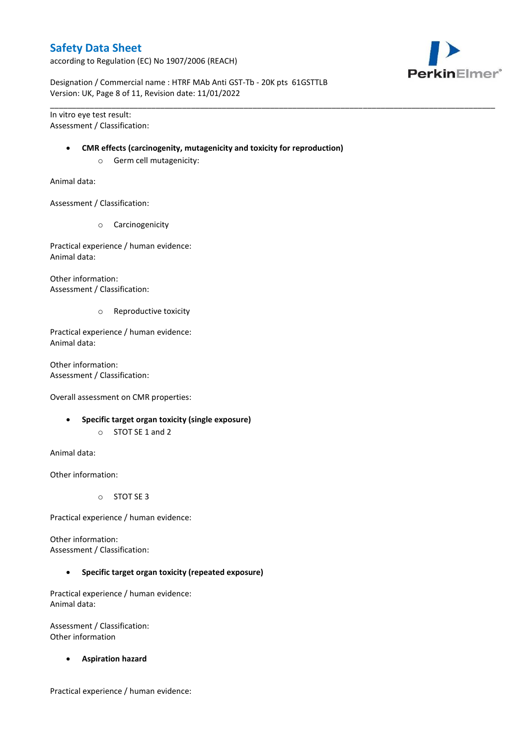according to Regulation (EC) No 1907/2006 (REACH)



Designation / Commercial name : HTRF MAb Anti GST-Tb - 20K pts 61GSTTLB Version: UK, Page 8 of 11, Revision date: 11/01/2022

In vitro eye test result: Assessment / Classification:

#### **CMR effects (carcinogenity, mutagenicity and toxicity for reproduction)**

\_\_\_\_\_\_\_\_\_\_\_\_\_\_\_\_\_\_\_\_\_\_\_\_\_\_\_\_\_\_\_\_\_\_\_\_\_\_\_\_\_\_\_\_\_\_\_\_\_\_\_\_\_\_\_\_\_\_\_\_\_\_\_\_\_\_\_\_\_\_\_\_\_\_\_\_\_\_\_\_\_\_\_\_\_\_\_\_\_\_\_\_\_\_\_\_\_\_\_\_\_

o Germ cell mutagenicity:

Animal data:

Assessment / Classification:

o Carcinogenicity

Practical experience / human evidence: Animal data:

Other information: Assessment / Classification:

o Reproductive toxicity

Practical experience / human evidence: Animal data:

Other information: Assessment / Classification:

Overall assessment on CMR properties:

- **Specific target organ toxicity (single exposure)**
	- o STOT SE 1 and 2

Animal data:

Other information:

o STOT SE 3

Practical experience / human evidence:

Other information: Assessment / Classification:

**Specific target organ toxicity (repeated exposure)**

Practical experience / human evidence: Animal data:

Assessment / Classification: Other information

**Aspiration hazard**

Practical experience / human evidence: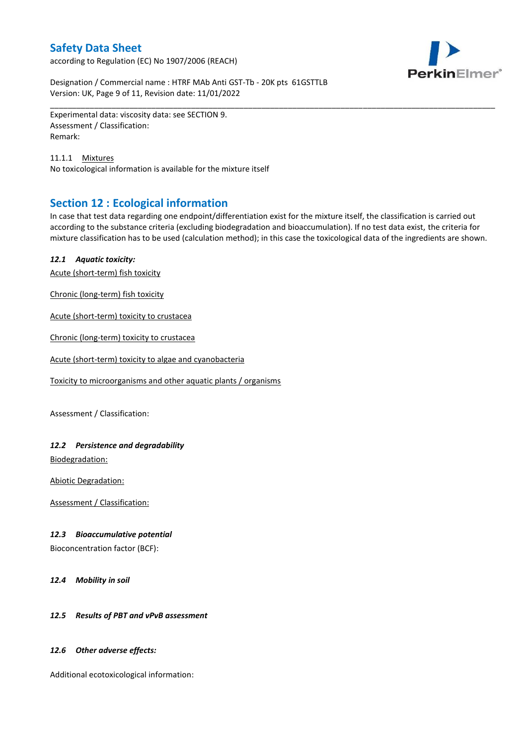according to Regulation (EC) No 1907/2006 (REACH)



Designation / Commercial name : HTRF MAb Anti GST-Tb - 20K pts 61GSTTLB Version: UK, Page 9 of 11, Revision date: 11/01/2022

Experimental data: viscosity data: see SECTION 9. Assessment / Classification: Remark:

11.1.1 Mixtures No toxicological information is available for the mixture itself

# **Section 12 : Ecological information**

In case that test data regarding one endpoint/differentiation exist for the mixture itself, the classification is carried out according to the substance criteria (excluding biodegradation and bioaccumulation). If no test data exist, the criteria for mixture classification has to be used (calculation method); in this case the toxicological data of the ingredients are shown.

\_\_\_\_\_\_\_\_\_\_\_\_\_\_\_\_\_\_\_\_\_\_\_\_\_\_\_\_\_\_\_\_\_\_\_\_\_\_\_\_\_\_\_\_\_\_\_\_\_\_\_\_\_\_\_\_\_\_\_\_\_\_\_\_\_\_\_\_\_\_\_\_\_\_\_\_\_\_\_\_\_\_\_\_\_\_\_\_\_\_\_\_\_\_\_\_\_\_\_\_\_

### *12.1 Aquatic toxicity:*

Acute (short-term) fish toxicity

Chronic (long-term) fish toxicity

Acute (short-term) toxicity to crustacea

Chronic (long-term) toxicity to crustacea

Acute (short-term) toxicity to algae and cyanobacteria

Toxicity to microorganisms and other aquatic plants / organisms

Assessment / Classification:

### *12.2 Persistence and degradability*

Biodegradation:

Abiotic Degradation:

Assessment / Classification:

#### *12.3 Bioaccumulative potential*

Bioconcentration factor (BCF):

*12.4 Mobility in soil*

### *12.5 Results of PBT and vPvB assessment*

#### *12.6 Other adverse effects:*

Additional ecotoxicological information: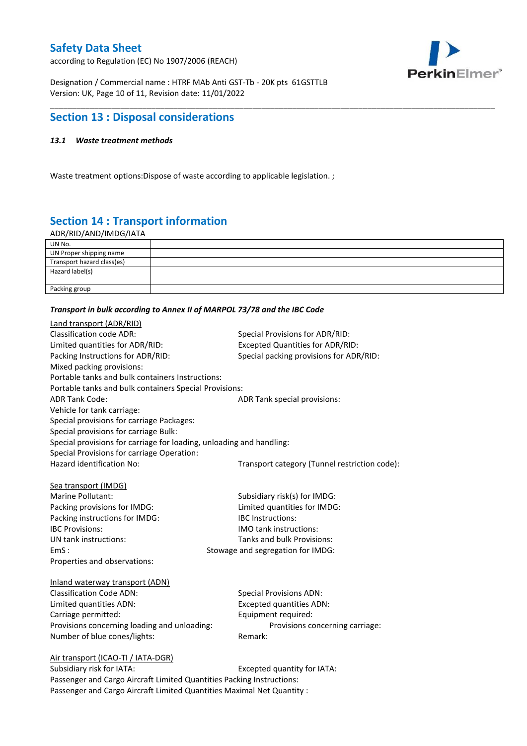according to Regulation (EC) No 1907/2006 (REACH)



Designation / Commercial name : HTRF MAb Anti GST-Tb - 20K pts 61GSTTLB Version: UK, Page 10 of 11, Revision date: 11/01/2022

# **Section 13 : Disposal considerations**

### *13.1 Waste treatment methods*

Waste treatment options:Dispose of waste according to applicable legislation. ;

# **Section 14 : Transport information**

ADR/RID/AND/IMDG/IATA

| UN No.                     |  |
|----------------------------|--|
| UN Proper shipping name    |  |
| Transport hazard class(es) |  |
| Hazard label(s)            |  |
|                            |  |
| Packing group              |  |

\_\_\_\_\_\_\_\_\_\_\_\_\_\_\_\_\_\_\_\_\_\_\_\_\_\_\_\_\_\_\_\_\_\_\_\_\_\_\_\_\_\_\_\_\_\_\_\_\_\_\_\_\_\_\_\_\_\_\_\_\_\_\_\_\_\_\_\_\_\_\_\_\_\_\_\_\_\_\_\_\_\_\_\_\_\_\_\_\_\_\_\_\_\_\_\_\_\_\_\_\_

#### *Transport in bulk according to Annex II of MARPOL 73/78 and the IBC Code*

| Land transport (ADR/RID)                                                    |                                               |  |
|-----------------------------------------------------------------------------|-----------------------------------------------|--|
| <b>Classification code ADR:</b>                                             | Special Provisions for ADR/RID:               |  |
| Limited quantities for ADR/RID:                                             | Excepted Quantities for ADR/RID:              |  |
| Packing Instructions for ADR/RID:                                           | Special packing provisions for ADR/RID:       |  |
| Mixed packing provisions:                                                   |                                               |  |
| Portable tanks and bulk containers Instructions:                            |                                               |  |
| Portable tanks and bulk containers Special Provisions:                      |                                               |  |
| <b>ADR Tank Code:</b>                                                       | ADR Tank special provisions:                  |  |
| Vehicle for tank carriage:                                                  |                                               |  |
| Special provisions for carriage Packages:                                   |                                               |  |
| Special provisions for carriage Bulk:                                       |                                               |  |
| Special provisions for carriage for loading, unloading and handling:        |                                               |  |
| Special Provisions for carriage Operation:                                  |                                               |  |
| Hazard identification No:                                                   | Transport category (Tunnel restriction code): |  |
|                                                                             |                                               |  |
| Sea transport (IMDG)                                                        |                                               |  |
| Marine Pollutant:                                                           | Subsidiary risk(s) for IMDG:                  |  |
| Packing provisions for IMDG:                                                | Limited quantities for IMDG:                  |  |
| Packing instructions for IMDG:                                              | IBC Instructions:                             |  |
| <b>IBC Provisions:</b>                                                      | <b>IMO</b> tank instructions:                 |  |
| UN tank instructions:                                                       | Tanks and bulk Provisions:                    |  |
| EmS:                                                                        | Stowage and segregation for IMDG:             |  |
| Properties and observations:                                                |                                               |  |
|                                                                             |                                               |  |
| Inland waterway transport (ADN)                                             |                                               |  |
| <b>Classification Code ADN:</b>                                             | <b>Special Provisions ADN:</b>                |  |
| Limited quantities ADN:                                                     | <b>Excepted quantities ADN:</b>               |  |
| Carriage permitted:                                                         | Equipment required:                           |  |
| Provisions concerning loading and unloading:                                | Provisions concerning carriage:               |  |
| Number of blue cones/lights:                                                | Remark:                                       |  |
|                                                                             |                                               |  |
| Air transport (ICAO-TI / IATA-DGR)<br>Subsidiary risk for IATA <sup>.</sup> | Excepted quantity for $IATA$ .                |  |
|                                                                             |                                               |  |

Subsidiary risk for IATA: Subsidiary risk for IATA: Passenger and Cargo Aircraft Limited Quantities Packing Instructions: Passenger and Cargo Aircraft Limited Quantities Maximal Net Quantity :